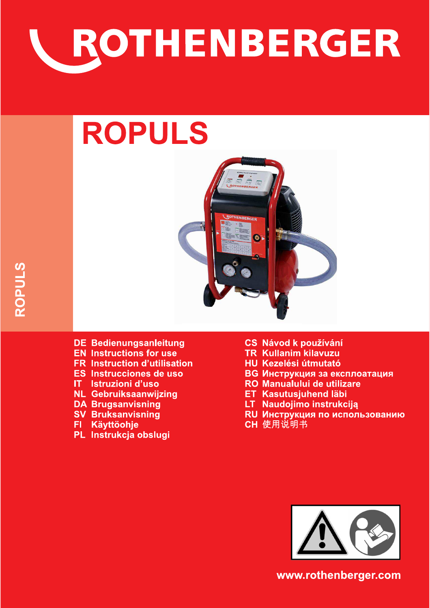

# **ROPULS**



- **DE Bedienungsanleitung**
- **EN Instructions for use**
- **FR** Instruction d'utilisation
- ES Instrucciones de uso
- $IT$ Istruzioni d'uso
- **NL Gebruiksaanwijzing**
- **DA Brugsanvisning**
- **SV Bruksanvisning**
- **Käyttöohje** FL.
- PL Instrukcja obslugi
- **CS Návod k používání**
- **TR** Kullanim kilavuzu
- **HU Kezelési útmutató**
- **ВG Инструкция за експлоатация**
- **RO Manualului de utilizare**
- **ET Kasutusjuhend läbi**
- LT Naudojimo instrukciją
- RU Инструкция по использованию
- CH 使用说明书



www.rothenberger.com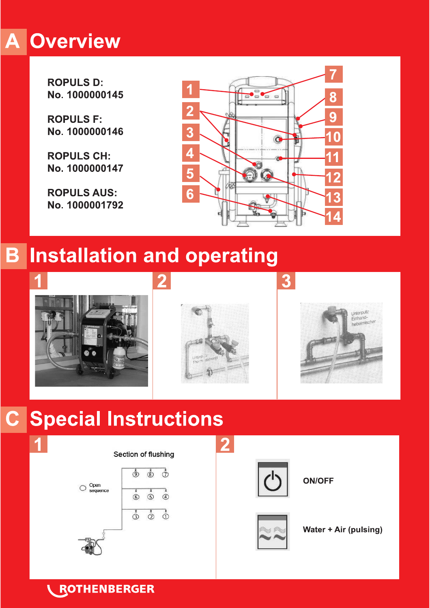# **A Overview**

**ROPULS D:** No. 1000000145

**ROPULS F:** No. 1000000146

**ROPULS CH:** No. 1000000147

**ROPULS AUS:** No. 1000001792



# **B Installation and operating**





## $\mathbf{C}$ **Special Instructions**



# **ROTHENBERGER**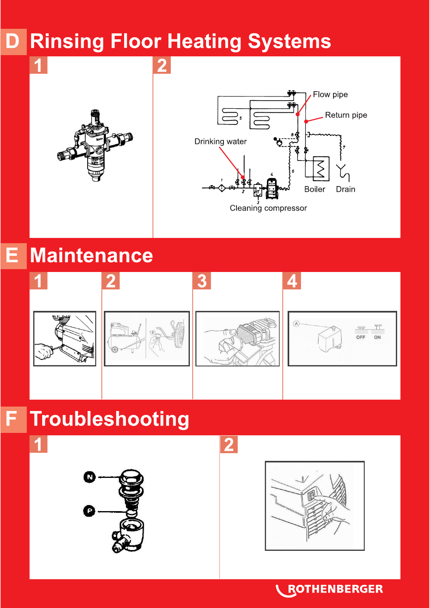## **Rinsing Floor Heating Systems** D

2





#### **Maintenance** E.



# **Troubleshooting**

1







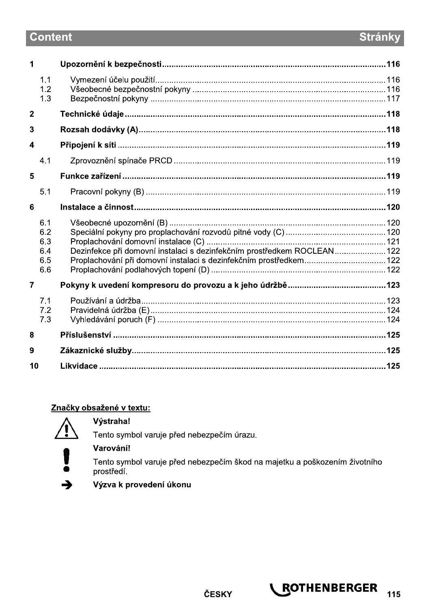# **Content**

| Dezinfekce při domovní instalaci s dezinfekčním prostředkem ROCLEAN 122<br>Proplachování při domovní instalaci s dezinfekčním prostředkem 122 |
|-----------------------------------------------------------------------------------------------------------------------------------------------|

## Značky obsažené v textu:



#### Výstraha!

Tento symbol varuje před nebezpečím úrazu.



### Varování!

Tento symbol varuje před nebezpečím škod na majetku a poškozením životního prostředí.



Výzva k provedení úkonu

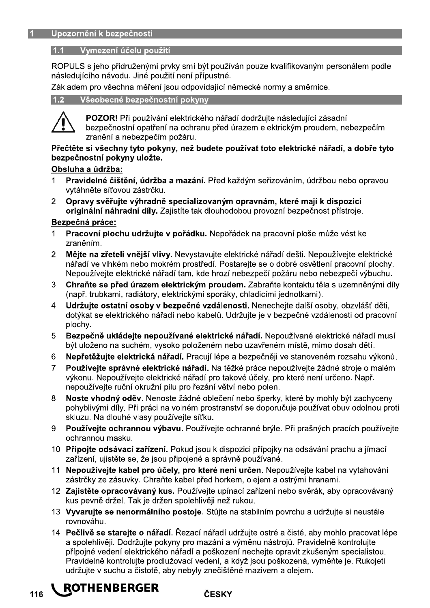#### 1.1 Vymezení účelu použití

ROPULS s jeho přidruženými prvky smí být používán pouze kvalifikovaným personálem podle následujícího návodu. Jiné použití není přípustné.

Základem pro všechna měření jsou odpovídající německé normy a směrnice.

#### 1.2 Všeobecné bezpečnostní pokyny



POZOR! Při používání elektrického nářadí dodržuite následující zásadní bezpečnostní opatření na ochranu před úrazem elektrickým proudem, nebezpečím zranění a nebezpečím požáru.

#### Přečtěte si všechny tyto pokyny, než budete používat toto elektrické nářadí, a dobře tyto bezpečnostní pokvny uložte.

#### Obsluha a údržba:

- Pravidelné čištění, údržba a mazání. Před každým seřizováním, údržbou nebo opravou  $\mathbf{1}$ vytáhněte síťovou zástrčku.
- Opravy svěřujte výhradně specializovaným opravnám, které mají k dispozici 2 originální náhradní díly. Zajistíte tak dlouhodobou provozní bezpečnost přístroje.

#### Bezpečná práce:

- Pracovní plochu udržuite v pořádku. Nepořádek na pracovní ploše může vést ke zraněním.
- Mějte na zřeteli vnější vlivy. Nevystavujte elektrické nářadí dešti. Nepoužívejte elektrické  $\mathcal{P}$ nářadí ve vlhkém nebo mokrém prostředí. Postarejte se o dobré osvětlení pracovní plochy. Nepoužívejte elektrické nářadí tam, kde hrozí nebezpečí požáru nebo nebezpečí výbuchu.
- 3 Chraňte se před úrazem elektrickým proudem. Zabraňte kontaktu těla s uzemněnými díly (např. trubkami, radiátory, elektrickými sporáky, chladicími jednotkami).
- Udržujte ostatní osoby v bezpečné vzdálenosti. Nenechejte další osoby, obzvlášť děti,  $\overline{4}$ dotýkat se elektrického nářadí nebo kabelů. Udržujte je v bezpečné vzdálenosti od pracovní plochy.
- Bezpečně ukládejte nepoužívané elektrické nářadí. Nepoužívané elektrické nářadí musí 5 být uloženo na suchém, vysoko položeném nebo uzavřeném místě, mimo dosah dětí.
- Nepřetěžujte elektrická nářadí. Pracují lépe a bezpečněji ve stanoveném rozsahu výkonů. 6
- Používeite správné elektrické nářadí. Na těžké práce nepoužívejte žádné stroje o malém  $\overline{7}$ výkonu. Nepoužívejte elektrické nářadí pro takové účely, pro které není určeno. Např. nepoužívejte ruční okružní pilu pro řezání větví nebo polen.
- 8 Noste vhodný oděv. Nenoste žádné oblečení nebo šperky, které by mohly být zachyceny pohyblivými díly. Při práci na volném prostranství se doporučuje používat obuv odolnou proti skluzu. Na dlouhé vlasy používejte síťku.
- Používejte ochrannou výbavu. Používejte ochranné brýle. Při prašných pracích používejte 9 ochrannou masku.
- 10 Připojte odsávací zařízení. Pokud jsou k dispozici přípojky na odsávání prachu a jímací zařízení, ujistěte se, že jsou připojené a správně používané.
- 11 Nepoužívejte kabel pro účely, pro které není určen. Nepoužívejte kabel na vytahování zástrčky ze zásuvky. Chraňte kabel před horkem, olejem a ostrými hranami.
- 12 Zajistěte opracovávaný kus. Používejte upínací zařízení nebo svěrák, aby opracovávaný kus pevně držel. Tak je držen spolehlivěji než rukou.
- 13 Vyvarujte se nenormálního postoje. Stůjte na stabilním povrchu a udržujte si neustále rovnováhu
- 14 Pečlivě se starejte o nářadí. Řezací nářadí udržujte ostré a čisté, aby mohlo pracovat lépe a spolehlivěji. Dodržujte pokyny pro mazání a výměnu nástrojů. Pravidelně kontrolujte přípojné vedení elektrického nářadí a poškození nechejte opravit zkušeným specialistou. Pravidelně kontroluite prodlužovací vedení, a když jsou poškozená, vyměňte je. Rukojeti udržujte v suchu a čistotě, aby nebyly znečištěné mazivem a olejem.

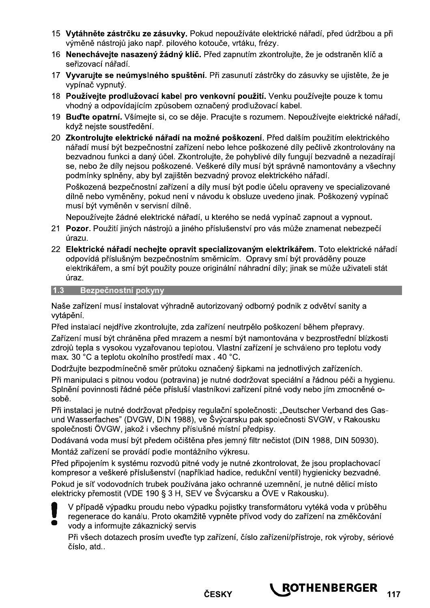- 15 Vytáhněte zástrčku ze zásuvky. Pokud nepoužíváte elektrické nářadí, před údržbou a při výměně nástrojů jako např. pilového kotouče, vrtáku, frézy.
- 16 Nenecháveite nasazený žádný klíč. Před zapnutím zkontroluite, že je odstraněn klíč a seřizovací nářadí.
- 17 Vyvarujte se neúmyslného spuštění. Při zasunutí zástrčky do zásuvky se ujistěte, že je vvpínač vvpnutý.
- 18 Používejte prodlužovací kabel pro venkovní použití. Venku používejte pouze k tomu vhodný a odpovídajícím způsobem označený prodlužovací kabel.
- 19 Buďte opatrní. Všímejte si, co se děje. Pracujte s rozumem. Nepoužívejte elektrické nářadí, když nejste soustředění.
- 20 Zkontrolujte elektrické nářadí na možné poškození. Před dalším použitím elektrického nářadí musí být bezpečnostní zařízení nebo lehce poškozené díly pečlivě zkontrolovány na bezvadnou funkci a daný účel. Zkontrolujte, že pohyblivé díly fungují bezvadně a nezadírají se, nebo že díly nejsou poškozené. Veškeré díly musí být správně namontovány a všechny podmínky splněny, aby byl zajištěn bezvadný provoz elektrického nářadí.

Poškozená bezpečnostní zařízení a díly musí být podle účelu opraveny ve specializované dílně nebo vyměněny, pokud není v návodu k obsluze uvedeno jinak. Poškozený vypínač musí být vyměněn v servisní dílně.

Nepoužívejte žádné elektrické nářadí, u kterého se nedá vypínač zapnout a vypnout.

- 21 Pozor. Použití jiných nástrojů a jiného příslušenství pro vás může znamenat nebezpečí úrazu.
- 22 Elektrické nářadí necheite opravit specializovaným elektrikářem. Toto elektrické nářadí odpovídá příslušným bezpečnostním směrnicím. Opravy smí být prováděny pouze elektrikářem, a smí být použity pouze originální náhradní díly; jinak se může uživateli stát úraz.

#### 1.3 Bezpečnostní pokyny

Naše zařízení musí instalovat výhradně autorizovaný odborný podnik z odvětví sanity a vytápění.

Před instalací nejdříve zkontrolujte, zda zařízení neutrpělo poškození během přepravy.

Zařízení musí být chráněna před mrazem a nesmí být namontována v bezprostřední blízkosti zdrojů tepla s vysokou vyzařovanou teplotou. Vlastní zařízení je schváleno pro teplotu vody max. 30 °C a teplotu okolního prostředí max. 40 °C.

Dodržuite bezpodmínečně směr průtoku označený šipkami na jednotlivých zařízeních.

Při manipulaci s pitnou vodou (potravina) je nutné dodržovat speciální a řádnou péči a hygienu. Splnění povinnosti řádné péče přísluší vlastníkovi zařízení pitné vody nebo jím zmocněné osobě.

Při instalaci je nutné dodržovat předpisy regulační společnosti: "Deutscher Verband des Gasund Wasserfaches" (DVGW, DIN 1988), ve Švýcarsku pak společnosti SVGW, v Rakousku společnosti ÖVGW, jakož i všechny příslušné místní předpisy.

Dodávaná voda musí být předem očištěna přes jemný filtr nečistot (DIN 1988, DIN 50930). Montáž zařízení se provádí podle montážního výkresu.

Před připojením k systému rozvodů pitné vody je nutné zkontrolovat, že jsou proplachovací kompresor a veškeré příslušenství (například hadice, redukční ventil) hygienicky bezvadné.

Pokud je síť vodovodních trubek používána jako ochranné uzemnění, je nutné dělicí místo elektricky přemostit (VDE 190 § 3 H, SEV ve Švýcarsku a ÖVE v Rakousku).

V případě výpadku proudu nebo výpadku pojistky transformátoru vytéká voda v průběhu regenerace do kanálu. Proto okamžitě vypněte přívod vody do zařízení na změkčování vody a informuite zákaznický servis

Při všech dotazech prosím uveďte typ zařízení, číslo zařízení/přístroje, rok výroby, sériové číslo, atd..



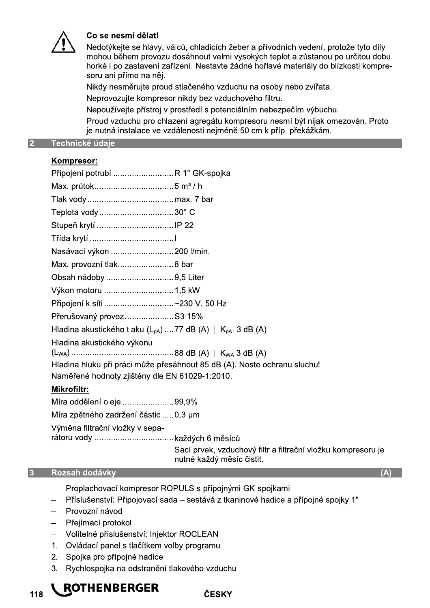

#### Co se nesmí dělat!

Nedotýkejte se hlavy, válců, chladicích žeber a přívodních vedení, protože tyto díly mohou během provozu dosáhnout velmi vysokých teplot a zůstanou po určitou dobu horké i po zastavení zařízení. Nestavte žádné hořlavé materiály do blízkosti kompresoru ani přímo na něj.

Nikdy nesměrujte proud stlačeného vzduchu na osoby nebo zvířata.

Neprovozujte kompresor nikdy bez vzduchového filtru.

Nepoužívejte přístroj v prostředí s potenciálním nebezpečím výbuchu.

Proud vzduchu pro chlazení agregátu kompresoru nesmí být nijak omezován. Proto je nutná instalace ve vzdálenosti nejméně 50 cm k příp. překážkám.

#### $\overline{2}$ Technické údaje

#### Kompresor:

| Připojení potrubí  R 1" GK-spojka                                        |  |  |  |  |
|--------------------------------------------------------------------------|--|--|--|--|
|                                                                          |  |  |  |  |
|                                                                          |  |  |  |  |
| Teplota vody30° C                                                        |  |  |  |  |
|                                                                          |  |  |  |  |
|                                                                          |  |  |  |  |
| Nasávací výkon 200 l/min.                                                |  |  |  |  |
| Max. provozní tlak8 bar                                                  |  |  |  |  |
| Obsah nádoby 9,5 Liter                                                   |  |  |  |  |
|                                                                          |  |  |  |  |
| Připojení k síti ~230 V, 50 Hz                                           |  |  |  |  |
| Přerušovaný provoz S3 15%                                                |  |  |  |  |
| Hladina akustického tlaku $(L_{pA})$ 77 dB $(A)$   $K_{pA}$ 3 dB $(A)$   |  |  |  |  |
| Hladina akustického výkonu                                               |  |  |  |  |
| Hladina hluku při práci může přesáhnout 85 dB (A). Noste ochranu sluchu! |  |  |  |  |
| Naměřené hodnoty zjištěny dle EN 61029-1:2010.                           |  |  |  |  |
| Mikrofiltr:                                                              |  |  |  |  |
| Míra oddělení oleje 99,9%                                                |  |  |  |  |
| Míro znětného zadržení částie $\sqrt{2}$ um                              |  |  |  |  |

Míra zpětného zadržení částic .....0,3 µm

Výměna filtrační vložky v sepa-

Sací prvek, vzduchový filtr a filtrační vložku kompresoru je nutné každý měsíc čistit.

#### **Rozsah dodávky**  $3<sup>1</sup>$

118

- Proplachovací kompresor ROPULS s přípojnými GK-spojkami
- Příslušenství: Připojovací sada sestává z tkaninové hadice a přípojné spojky 1"  $\equiv$
- Provozní návod
- Přejímací protokol  $\overline{\phantom{0}}$
- Volitelné příslušenství: Injektor ROCLEAN
- 1. Ovládací panel s tlačítkem volby programu
- 2. Spojka pro přípojné hadice
- 3. Rychlospojka na odstranění tlakového vzduchu

# **L ROTHENBERGER**

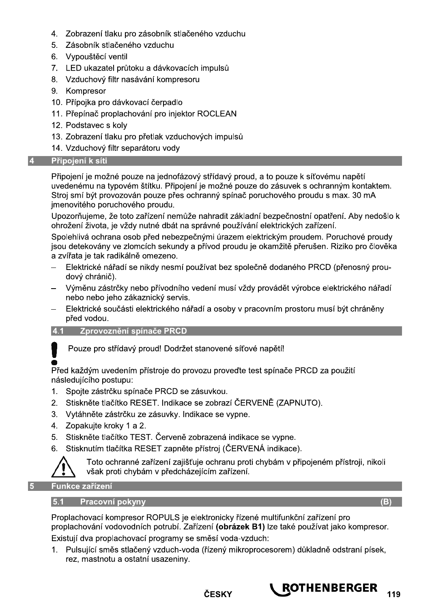- 4. Zobrazení tlaku pro zásobník stlačeného vzduchu
- 5. Zásobník stlačeného vzduchu
- 6. Vypouštěcí ventil
- 7. LED ukazatel průtoku a dávkovacích impulsů
- 8. Vzduchový filtr nasávání kompresoru
- 9. Kompresor
- 10. Přípojka pro dávkovací čerpadlo
- 11. Přepínač proplachování pro injektor ROCLEAN
- 12. Podstavec s kolv
- 13. Zobrazení tlaku pro přetlak vzduchových impulsů
- 14. Vzduchový filtr separátoru vody

#### 4 Připojení k síti

Připojení je možné pouze na jednofázový střídavý proud, a to pouze k síťovému napětí uvedenému na typovém štítku. Připojení je možné pouze do zásuvek s ochranným kontaktem. Stroj smí být provozován pouze přes ochranný spínač poruchového proudu s max. 30 mA jmenovitého poruchového proudu.

Upozorňujeme, že toto zařízení nemůže nahradit základní bezpečnostní opatření. Aby nedošlo k ohrožení života, je vždy nutné dbát na správné používání elektrických zařízení.

Spolehlivá ochrana osob před nebezpečnými úrazem elektrickým proudem. Poruchové proudy jsou detekovány ve zlomcích sekundy a přívod proudu je okamžitě přerušen. Riziko pro člověka a zvířata je tak radikálně omezeno.

- Elektrické nářadí se nikdy nesmí používat bez společně dodaného PRCD (přenosný proudový chránič).
- Výměnu zástrčky nebo přívodního vedení musí vždy provádět výrobce elektrického nářadí nebo nebo jeho zákaznický servis.
- Elektrické součásti elektrického nářadí a osoby v pracovním prostoru musí být chráněny před vodou.

#### 4.1 Zprovoznění spínače PRCD

Pouze pro střídavý proud! Dodržet stanovené síťové napětí!

Před každým uvedením přístroje do provozu provedte test spínače PRCD za použití následujícího postupu:

- 1. Spojte zástrčku spínače PRCD se zásuvkou.
- 2. Stiskněte tlačítko RESET. Indikace se zobrazí ČERVENĚ (ZAPNUTO).
- 3. Vytáhněte zástrčku ze zásuvky. Indikace se vypne.
- 4. Zopakujte kroky 1 a 2.
- 5. Stiskněte tlačítko TEST. Červeně zobrazená indikace se vypne.
- 6. Stisknutím tlačítka RESET zapněte přístroj (ČERVENÁ indikace).



Toto ochranné zařízení zajišťuje ochranu proti chybám v připojeném přístroji, nikoli však proti chybám v předcházejícím zařízení.

Funkce zařízení

#### 5.1 Pracovní pokyny

Proplachovací kompresor ROPULS je elektronicky řízené multifunkční zařízení pro proplachování vodovodních potrubí. Zařízení (obrázek B1) lze také používat jako kompresor. Existují dva proplachovací programy se směsí voda-vzduch:

1. Pulsující směs stlačený vzduch-voda (řízený mikroprocesorem) důkladně odstraní písek, rez, mastnotu a ostatní usazeniny.



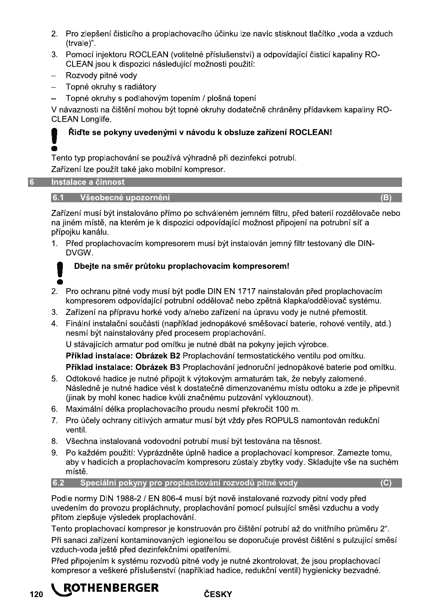- 2. Pro zlepšení čisticího a proplachovacího účinku lze navíc stisknout tlačítko "voda a vzduch (trvale)".
- 3. Pomocí iniektoru ROCLEAN (volitelné příslušenství) a odpovídající čisticí kapaliny RO-CLEAN jsou k dispozici následující možnosti použití:
- Rozvody pitné vody
- Topné okruhy s radiátory
- Topné okruhy s podlahovým topením / plošná topení

V návaznosti na čištění mohou být topné okruhy dodatečně chráněny přídavkem kapaliny RO-**CLEAN Longlife.** 

## Řiďte se pokvny uvedenými v návodu k obsluze zařízení ROCLEAN!

Tento typ proplachování se používá výhradně při dezinfekci potrubí.

Zařízení lze použít také jako mobilní kompresor.

#### Instalace a činnost  $\mathbf{f}$

#### 6.1 Všeobecné upozornění

Zařízení musí být instalováno přímo po schváleném jemném filtru, před baterií rozdělovače nebo na jiném místě, na kterém je k dispozici odpovídající možnost připojení na potrubní síť a přípojku kanálu.

1. Před proplachovacím kompresorem musí být instalován jemný filtr testovaný dle DIN-DVGW.

### Dbeite na směr průtoku proplachovacím kompresorem!

- 2. Pro ochranu pitné vody musí být podle DIN EN 1717 nainstalován před proplachovacím kompresorem odpovídající potrubní oddělovač nebo zpětná klapka/oddělovač systému.
- 3. Zařízení na přípravu horké vody a/nebo zařízení na úpravu vody je nutné přemostit.
- 4. Finální instalační součásti (například jednopákové směšovací baterie, rohové ventily, atd.) nesmí být nainstalovány před procesem proplachování.

U stávajících armatur pod omítku je nutné dbát na pokyny jejich výrobce.

Příklad instalace: Obrázek B2 Proplachování termostatického ventilu pod omítku.

Příklad instalace: Obrázek B3 Proplachování jednoruční jednopákové baterie pod omítku.

- 5. Odtokové hadice je nutné připojit k výtokovým armaturám tak, že nebyly zalomené. Následně je nutné hadice vést k dostatečně dimenzovanému místu odtoku a zde je připevnit (jinak by mohl konec hadice kvůli značnému pulzování vyklouznout).
- 6. Maximální délka proplachovacího proudu nesmí překročit 100 m.
- 7. Pro účely ochrany citlivých armatur musí být vždy přes ROPULS namontován redukční ventil.
- 8. Všechna instalovaná vodovodní potrubí musí být testována na těsnost.
- 9. Po každém použití: Vyprázdněte úplně hadice a proplachovací kompresor. Zamezte tomu, aby v hadicích a proplachovacím kompresoru zůstaly zbytky vody. Skladujte vše na suchém místě.

#### 6.2 Speciální pokyny pro proplachování rozvodů pitné vody

Podle normy DIN 1988-2 / EN 806-4 musí být nově instalované rozvody pitní vody před uvedením do provozu propláchnuty, proplachování pomocí pulsující směsi vzduchu a vody přitom zlepšuje výsledek proplachování.

Tento proplachovací kompresor je konstruován pro čištění potrubí až do vnitřního průměru 2". Při sanaci zařízení kontaminovaných legionellou se doporučuje provést čištění s pulzující směsí vzduch-voda ještě před dezinfekčními opatřeními.

Před připojením k systému rozvodů pitné vody je nutné zkontrolovat, že jsou proplachovací kompresor a veškeré příslušenství (například hadice, redukční ventil) hygienicky bezvadné.

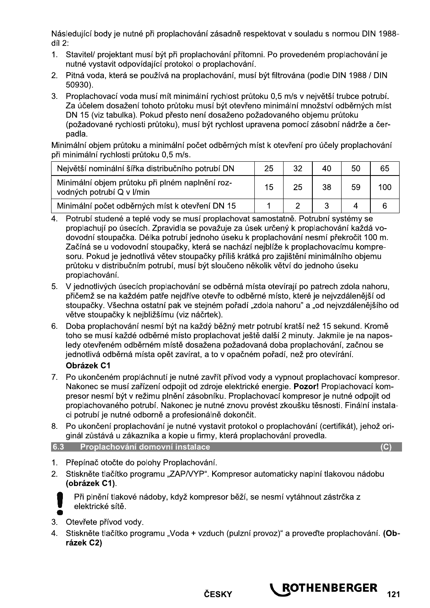Následující body je nutné při proplachování zásadně respektovat v souladu s normou DIN 1988 $di12$ :

- 1. Stavitel/ projektant musí být při proplachování přítomni. Po provedeném proplachování je nutné vystavit odpovídající protokol o proplachování.
- 2. Pitná voda, která se používá na proplachování, musí být filtrována (podle DIN 1988 / DIN  $50930$ ).
- 3. Proplachovací voda musí mít minimální rychlost průtoku 0,5 m/s v největší trubce potrubí. Za účelem dosažení tohoto průtoku musí být otevřeno minimální množství odběrných míst DN 15 (viz tabulka). Pokud přesto není dosaženo požadovaného objemu průtoku (požadované rychlosti průtoku), musí být rychlost upravena pomocí zásobní nádrže a čerpadla.

Minimální objem průtoku a minimální počet odběrných míst k otevření pro účely proplachování při minimální rychlosti průtoku 0,5 m/s.

| Největší nominální šířka distribučního potrubí DN                            | 25 | 32 | 40 | 50 | 65  |
|------------------------------------------------------------------------------|----|----|----|----|-----|
| Minimální objem průtoku při plném naplnění roz-<br>vodných potrubí Q v I/min | 15 | 25 | 38 | 59 | 100 |
| Minimální počet odběrných míst k otevření DN 15                              |    |    |    |    |     |

- Potrubí studené a teplé vody se musí proplachovat samostatně. Potrubní systémy se proplachují po úsecích. Zpravidla se považuje za úsek určený k proplachování každá vodovodní stoupačka. Délka potrubí jednoho úseku k proplachování nesmí překročit 100 m. Začíná se u vodovodní stoupačky, která se nachází nejblíže k proplachovacímu kompresoru. Pokud je jednotlivá větev stoupačky příliš krátká pro zajištění minimálního objemu průtoku v distribučním potrubí, musí být sloučeno několik větví do jednoho úseku proplachování.
- 5. V jednotlivých úsecích proplachování se odběrná místa otevírají po patrech zdola nahoru, přičemž se na každém patře nejdříve otevře to odběrné místo, které je nejvzdálenější od stoupačky. Všechna ostatní pak ve stejném pořadí "zdola nahoru" a "od nejvzdálenějšího od větve stoupačky k nejbližšímu (viz náčrtek).
- 6. Doba proplachování nesmí být na každý běžný metr potrubí kratší než 15 sekund. Kromě toho se musí každé odběrné místo proplachovat ještě další 2 minuty. Jakmile je na naposledy otevřeném odběrném místě dosažena požadovaná doba proplachování, začnou se jednotlivá odběrná místa opět zavírat, a to v opačném pořadí, než pro otevírání. Obrázek C1
- 7. Po ukončeném propláchnutí je nutné zavřít přívod vody a vypnout proplachovací kompresor. Nakonec se musí zařízení odpojit od zdroje elektrické energie. Pozor! Proplachovací kompresor nesmí být v režimu plnění zásobníku. Proplachovací kompresor je nutné odpojit od proplachovaného potrubí. Nakonec je nutné znovu provést zkoušku těsnosti. Finální instalaci potrubí je nutné odborně a profesionálně dokončit.
- 8. Po ukončení proplachování je nutné vystavit protokol o proplachování (certifikát), jehož originál zůstává u zákazníka a kopie u firmy, která proplachování provedla.

| 6.3<br>Proplachování domovní instalace |  |
|----------------------------------------|--|
|                                        |  |
|                                        |  |

 $\mathcal{L}$ 

- 1. Přepínač otočte do polohy Proplachování.
- 2. Stiskněte tlačítko programu "ZAP/VYP". Kompresor automaticky naplní tlakovou nádobu (obrázek C1).



Při plnění tlakové nádoby, když kompresor běží, se nesmí vytáhnout zástrčka z elektrické sítě.

- 3. Otevřete přívod vody.
- 4. Stiskněte tlačítko programu "Voda + vzduch (pulzní provoz)" a proveďte proplachování. (Obrázek C2)

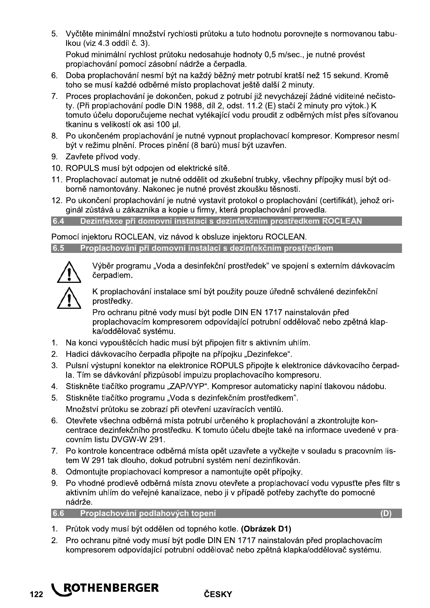5. Vyčtěte minimální množství rychlosti průtoku a tuto hodnotu porovnejte s normovanou tabu-Ikou (viz 4.3 oddíl č. 3). Pokud minimální rychlost průtoku nedosahuje hodnoty 0,5 m/sec., je nutné provést

proplachování pomocí zásobní nádrže a čerpadla.

- 6. Doba proplachování nesmí být na každý běžný metr potrubí kratší než 15 sekund. Kromě toho se musí každé odběrné místo proplachovat ještě další 2 minuty.
- 7. Proces proplachování je dokončen, pokud z potrubí již nevycházejí žádné viditelné nečistoty. (Při proplachování podle DIN 1988, díl 2, odst. 11.2 (E) stačí 2 minuty pro výtok.) K tomuto účelu doporučujeme nechat vytékající vodu proudit z odběrných míst přes síťovanou tkaninu s velikostí ok asi 100 ul.
- 8. Po ukončeném proplachování je nutné vypnout proplachovací kompresor. Kompresor nesmí být v režimu plnění. Proces plnění (8 barů) musí být uzavřen.
- 9. Zavřete přívod vody.
- 10. ROPULS musí být odpojen od elektrické sítě.
- 11. Proplachovací automat je nutné oddělit od zkušební trubky, všechny přípojky musí být odborně namontovány. Nakonec je nutné provést zkoušku těsnosti.
- 12. Po ukončení proplachování je nutné vystavit protokol o proplachování (certifikát), jehož originál zůstává u zákazníka a kopie u firmy, která proplachování provedla.

6.4 Dezinfekce při domovní instalaci s dezinfekčním prostředkem ROCLEAN

Pomocí iniektoru ROCLEAN, viz návod k obsluze iniektoru ROCLEAN.

Proplachování při domovní instalaci s dezinfekčním prostředkem 6.5



Výběr programu "Voda a desinfekční prostředek" ve spojení s externím dávkovacím čerpadlem.

K proplachování instalace smí být použity pouze úředně schválené dezinfekční prostředky.

Pro ochranu pitné vody musí být podle DIN EN 1717 nainstalován před proplachovacím kompresorem odpovídající potrubní oddělovač nebo zpětná klapka/oddělovač systému.

- 1. Na konci vypouštěcích hadic musí být připojen filtr s aktivním uhlím.
- 2. Hadici dávkovacího čerpadla připojte na přípojku "Dezinfekce".
- 3. Pulsní výstupní konektor na elektronice ROPULS připojte k elektronice dávkovacího čerpadla. Tím se dávkování přizpůsobí impulzu proplachovacího kompresoru.
- 4. Stiskněte tlačítko programu "ZAP/VYP". Kompresor automaticky naplní tlakovou nádobu.
- 5. Stiskněte tlačítko programu "Voda s dezinfekčním prostředkem". Množství průtoku se zobrazí při otevření uzavíracích ventilů.
- 6. Otevřete všechna odběrná místa potrubí určeného k proplachování a zkontrolujte koncentrace dezinfekčního prostředku. K tomuto účelu dbejte také na informace uvedené v pracovním listu DVGW-W 291.
- 7. Po kontrole koncentrace odběrná místa opět uzavřete a vyčkejte v souladu s pracovním listem W 291 tak dlouho, dokud potrubní systém není dezinfikován.
- 8. Odmontuite proplachovací kompresor a namontuite opět přípojky.
- 9. Po vhodné prodlevě odběrná místa znovu otevřete a proplachovací vodu vypusťte přes filtr s aktivním uhlím do veřejné kanalizace, nebo ji v případě potřeby zachyťte do pomocné nádrže.

```
6.6 Proplachování podlahových topení
```
- 1. Průtok vody musí být oddělen od topného kotle. (Obrázek D1)
- 2. Pro ochranu pitné vody musí být podle DIN EN 1717 nainstalován před proplachovacím kompresorem odpovídající potrubní oddělovač nebo zpětná klapka/oddělovač systému.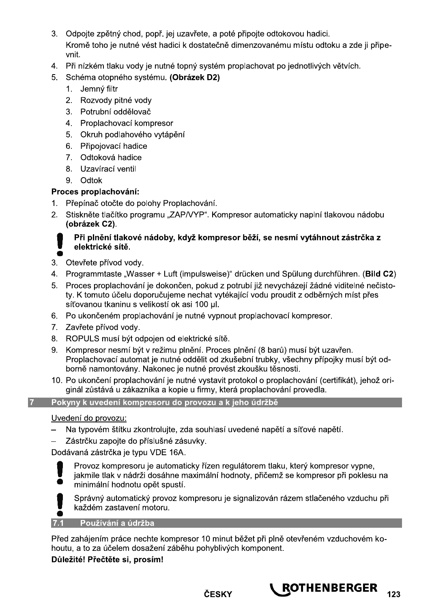- 3. Odpojte zpětný chod, popř. jej uzavřete, a poté připojte odtokovou hadici. Kromě toho je nutné vést hadici k dostatečně dimenzovanému místu odtoku a zde ji připevnit.
- 4. Při nízkém tlaku vody je nutné topný systém proplachovat po jednotlivých větvích.
- 5. Schéma otopného systému. (Obrázek D2)
	- 1. Jemný filtr
	- 2. Rozvody pitné vody
	- 3. Potrubní oddělovač
	- 4. Proplachovací kompresor
	- 5. Okruh podlahového vytápění
	- 6. Připojovací hadice
	- 7. Odtoková hadice
	- 8. Uzavírací ventil
	- 9. Odtok

### Proces proplachování:

- 1. Přepínač otočte do polohy Proplachování.
- 2. Stiskněte tlačítko programu "ZAP/VYP". Kompresor automaticky naplní tlakovou nádobu (obrázek C2).

#### Při plnění tlakové nádoby, když kompresor běží, se nesmí vytáhnout zástrčka z elektrické sítě.

- 3. Otevřete přívod vody.
- 4. Programmtaste "Wasser + Luft (impulsweise)" drücken und Spülung durchführen. (Bild C2)
- 5. Proces proplachování je dokončen, pokud z potrubí již nevycházejí žádné viditelné nečistoty. K tomuto účelu doporučujeme nechat vytékající vodu proudit z odběrných míst přes síťovanou tkaninu s velikostí ok asi 100 µl.
- 6. Po ukončeném proplachování je nutné vypnout proplachovací kompresor.
- 7. Zavřete přívod vody.
- 8. ROPULS musí být odpojen od elektrické sítě.
- 9. Kompresor nesmí být v režimu plnění. Proces plnění (8 barů) musí být uzavřen. Proplachovací automat je nutné oddělit od zkušební trubky, všechny přípojky musí být odborně namontovány. Nakonec je nutné provést zkoušku těsnosti.
- 10. Po ukončení proplachování je nutné vystavit protokol o proplachování (certifikát), jehož originál zůstává u zákazníka a kopie u firmy, která proplachování provedla.

#### Pokyny k uvedení kompresoru do provozu a k jeho údržbě

#### Uvedení do provozu:

- Na typovém štítku zkontrolujte, zda souhlasí uvedené napětí a síťové napětí.
- Zástrčku zapojte do příslušné zásuvky.

Dodávaná zástrčka je typu VDE 16A.



 $\overline{7}$ 

Provoz kompresoru je automaticky řízen regulátorem tlaku, který kompresor vypne, jakmile tlak v nádrži dosáhne maximální hodnoty, přičemž se kompresor při poklesu na minimální hodnotu opět spustí.



Správný automatický provoz kompresoru je signalizován rázem stlačeného vzduchu při každém zastavení motoru.

#### Používání a údržba  $7.1$

Před zahájením práce nechte kompresor 10 minut běžet při plně otevřeném vzduchovém kohoutu, a to za účelem dosažení záběhu pohyblivých komponent.

### Důležité! Přečtěte si, prosím!

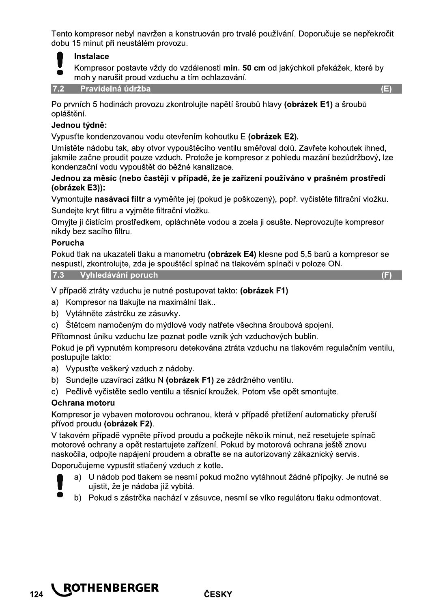Tento kompresor nebyl navržen a konstruován pro trvalé používání. Doporučuje se nepřekročit dobu 15 minut při neustálém provozu.



Kompresor postavte vždy do vzdálenosti min. 50 cm od jakýchkoli překážek, které by mohly narušit proud vzduchu a tím ochlazování.

**Pravidelná údržba**  $7.2$ 

Po prvních 5 hodinách provozu zkontrolujte napětí šroubů hlavy (obrázek E1) a šroubů opláštění.

#### Jednou týdně:

Vypusťte kondenzovanou vodu otevřením kohoutku E (obrázek E2).

Umístěte nádobu tak, aby otvor vypouštěcího ventilu směřoval dolů. Zavřete kohoutek ihned. jakmile začne proudit pouze vzduch. Protože je kompresor z pohledu mazání bezúdržbový, lze kondenzační vodu vypouštět do běžné kanalizace.

#### Jednou za měsíc (nebo častěji v případě, že je zařízení používáno v prašném prostředí (obrázek E3)):

Vymontujte nasávací filtr a vyměňte jej (pokud je poškozený), popř. vyčistěte filtrační vložku. Sundejte kryt filtru a vyjměte filtrační vložku.

Omyjte ji čistícím prostředkem, opláchněte vodou a zcela ji osušte. Neprovozujte kompresor nikdy bez sacího filtru.

#### Porucha

Pokud tlak na ukazateli tlaku a manometru (obrázek E4) klesne pod 5,5 barů a kompresor se nespustí, zkontrolujte, zda je spouštěcí spínač na tlakovém spínači v poloze ON.

7.3 Vyhledávání poruch

 $(E)$ 

V případě ztráty vzduchu je nutné postupovat takto: (obrázek F1)

- a) Kompresor na tlakuite na maximální tlak...
- b) Vytáhněte zástrčku ze zásuvky.
- c) Štětcem namočeným do mýdlové vody natřete všechna šroubová spojení.

Přítomnost úniku vzduchu lze poznat podle vzniklých vzduchových bublin.

Pokud je při vypnutém kompresoru detekována ztráta vzduchu na tlakovém regulačním ventilu, postupujte takto.

- a) Vypusťte veškerý vzduch z nádoby.
- b) Sundejte uzavírací zátku N (obrázek F1) ze zádržného ventilu.
- c) Pečlivě vyčistěte sedlo ventilu a těsnicí kroužek. Potom vše opět smontuite.

#### Ochrana motoru

Kompresor je vybaven motorovou ochranou, která v případě přetížení automaticky přeruší přívod proudu (obrázek F2).

V takovém případě vypněte přívod proudu a počkejte několik minut, než resetujete spínač motorové ochrany a opět restartujete zařízení. Pokud by motorová ochrana ještě znovu naskočila, odpojte napájení proudem a obraťte se na autorizovaný zákaznický servis.

Doporučujeme vypustit stlačený vzduch z kotle.

- a) U nádob pod tlakem se nesmí pokud možno vytáhnout žádné přípojky. Je nutné se uiistit, že je nádoba již vybitá. **O** 
	- b) Pokud s zástrčka nachází v zásuvce, nesmí se víko regulátoru tlaku odmontovat.